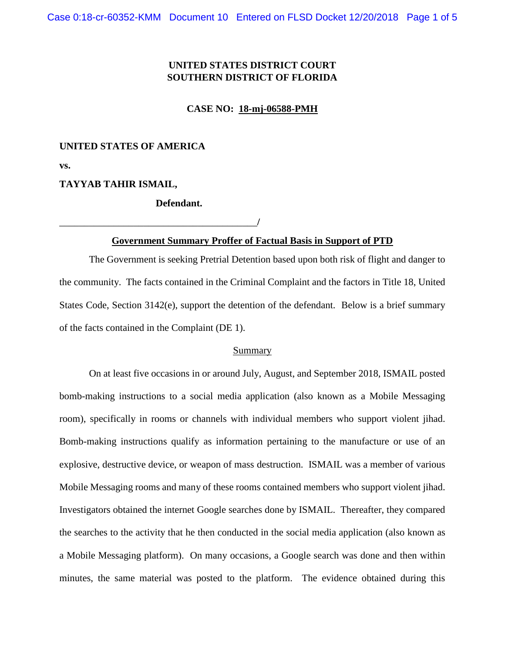## **UNITED STATES DISTRICT COURT SOUTHERN DISTRICT OF FLORIDA**

**CASE NO: 18-mj-06588-PMH**

#### **UNITED STATES OF AMERICA**

**vs.**

#### **TAYYAB TAHIR ISMAIL,**

### **Defendant.**

\_\_\_\_\_\_\_\_\_\_\_\_\_\_\_\_\_\_\_\_\_\_\_\_\_\_\_\_\_\_\_\_\_\_\_\_\_\_\_\_**/**

## **Government Summary Proffer of Factual Basis in Support of PTD**

The Government is seeking Pretrial Detention based upon both risk of flight and danger to the community. The facts contained in the Criminal Complaint and the factors in Title 18, United States Code, Section 3142(e), support the detention of the defendant. Below is a brief summary of the facts contained in the Complaint (DE 1).

#### Summary

On at least five occasions in or around July, August, and September 2018, ISMAIL posted bomb-making instructions to a social media application (also known as a Mobile Messaging room), specifically in rooms or channels with individual members who support violent jihad. Bomb-making instructions qualify as information pertaining to the manufacture or use of an explosive, destructive device, or weapon of mass destruction. ISMAIL was a member of various Mobile Messaging rooms and many of these rooms contained members who support violent jihad. Investigators obtained the internet Google searches done by ISMAIL. Thereafter, they compared the searches to the activity that he then conducted in the social media application (also known as a Mobile Messaging platform). On many occasions, a Google search was done and then within minutes, the same material was posted to the platform. The evidence obtained during this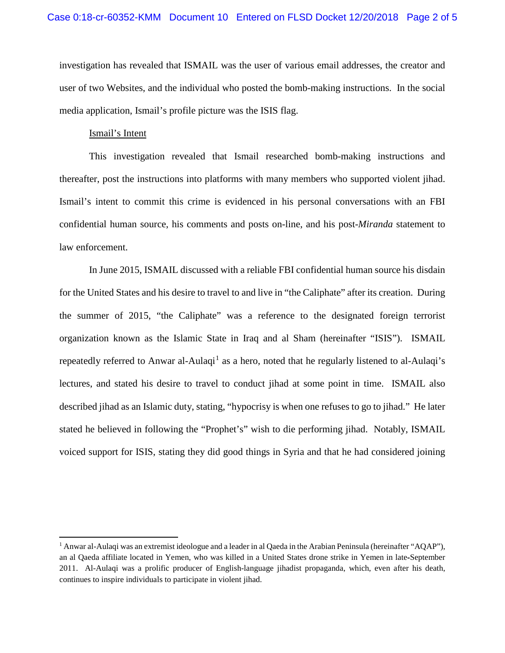investigation has revealed that ISMAIL was the user of various email addresses, the creator and user of two Websites, and the individual who posted the bomb-making instructions. In the social media application, Ismail's profile picture was the ISIS flag.

#### Ismail's Intent

 $\overline{\phantom{a}}$ 

This investigation revealed that Ismail researched bomb-making instructions and thereafter, post the instructions into platforms with many members who supported violent jihad. Ismail's intent to commit this crime is evidenced in his personal conversations with an FBI confidential human source, his comments and posts on-line, and his post-*Miranda* statement to law enforcement.

In June 2015, ISMAIL discussed with a reliable FBI confidential human source his disdain for the United States and his desire to travel to and live in "the Caliphate" after its creation. During the summer of 2015, "the Caliphate" was a reference to the designated foreign terrorist organization known as the Islamic State in Iraq and al Sham (hereinafter "ISIS"). ISMAIL repeatedly referred to Anwar al-Aulaqi<sup>[1](#page-1-0)</sup> as a hero, noted that he regularly listened to al-Aulaqi's lectures, and stated his desire to travel to conduct jihad at some point in time. ISMAIL also described jihad as an Islamic duty, stating, "hypocrisy is when one refuses to go to jihad." He later stated he believed in following the "Prophet's" wish to die performing jihad. Notably, ISMAIL voiced support for ISIS, stating they did good things in Syria and that he had considered joining

<span id="page-1-0"></span><sup>1</sup> Anwar al-Aulaqi was an extremist ideologue and a leader in al Qaeda in the Arabian Peninsula (hereinafter "AQAP"), an al Qaeda affiliate located in Yemen, who was killed in a United States drone strike in Yemen in late‐September 2011. Al-Aulaqi was a prolific producer of English-language jihadist propaganda, which, even after his death, continues to inspire individuals to participate in violent jihad.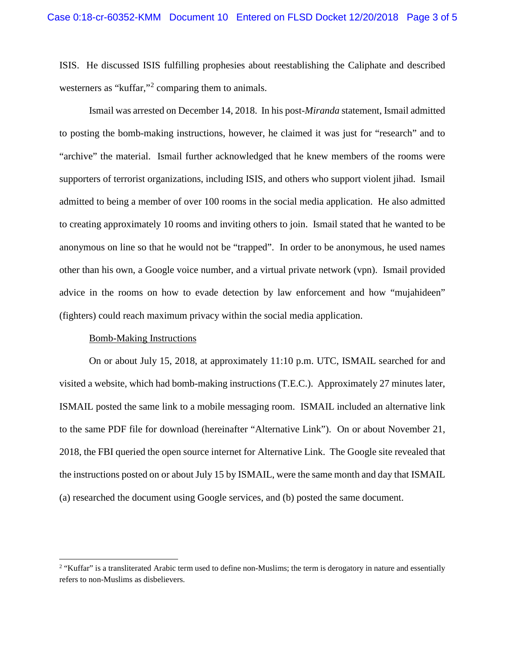ISIS. He discussed ISIS fulfilling prophesies about reestablishing the Caliphate and described westerners as "kuffar,"<sup>[2](#page-2-0)</sup> comparing them to animals.

Ismail was arrested on December 14, 2018. In his post-*Miranda* statement, Ismail admitted to posting the bomb-making instructions, however, he claimed it was just for "research" and to "archive" the material. Ismail further acknowledged that he knew members of the rooms were supporters of terrorist organizations, including ISIS, and others who support violent jihad. Ismail admitted to being a member of over 100 rooms in the social media application. He also admitted to creating approximately 10 rooms and inviting others to join. Ismail stated that he wanted to be anonymous on line so that he would not be "trapped". In order to be anonymous, he used names other than his own, a Google voice number, and a virtual private network (vpn). Ismail provided advice in the rooms on how to evade detection by law enforcement and how "mujahideen" (fighters) could reach maximum privacy within the social media application.

#### Bomb-Making Instructions

 $\overline{\phantom{a}}$ 

On or about July 15, 2018, at approximately 11:10 p.m. UTC, ISMAIL searched for and visited a website, which had bomb-making instructions (T.E.C.). Approximately 27 minutes later, ISMAIL posted the same link to a mobile messaging room. ISMAIL included an alternative link to the same PDF file for download (hereinafter "Alternative Link"). On or about November 21, 2018, the FBI queried the open source internet for Alternative Link. The Google site revealed that the instructions posted on or about July 15 by ISMAIL, were the same month and day that ISMAIL (a) researched the document using Google services, and (b) posted the same document.

<span id="page-2-0"></span><sup>&</sup>lt;sup>2</sup> "Kuffar" is a transliterated Arabic term used to define non-Muslims; the term is derogatory in nature and essentially refers to non-Muslims as disbelievers.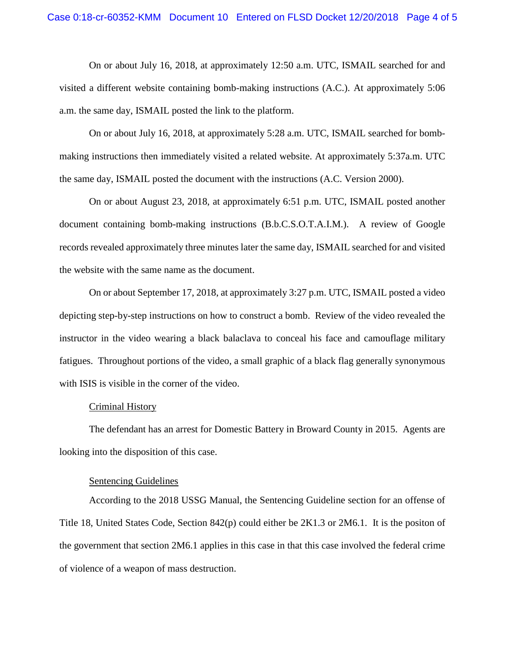On or about July 16, 2018, at approximately 12:50 a.m. UTC, ISMAIL searched for and visited a different website containing bomb-making instructions (A.C.). At approximately 5:06 a.m. the same day, ISMAIL posted the link to the platform.

On or about July 16, 2018, at approximately 5:28 a.m. UTC, ISMAIL searched for bombmaking instructions then immediately visited a related website. At approximately 5:37a.m. UTC the same day, ISMAIL posted the document with the instructions (A.C. Version 2000).

On or about August 23, 2018, at approximately 6:51 p.m. UTC, ISMAIL posted another document containing bomb-making instructions (B.b.C.S.O.T.A.I.M.). A review of Google records revealed approximately three minutes later the same day, ISMAIL searched for and visited the website with the same name as the document.

On or about September 17, 2018, at approximately 3:27 p.m. UTC, ISMAIL posted a video depicting step-by-step instructions on how to construct a bomb. Review of the video revealed the instructor in the video wearing a black balaclava to conceal his face and camouflage military fatigues. Throughout portions of the video, a small graphic of a black flag generally synonymous with ISIS is visible in the corner of the video.

#### Criminal History

The defendant has an arrest for Domestic Battery in Broward County in 2015. Agents are looking into the disposition of this case.

#### Sentencing Guidelines

According to the 2018 USSG Manual, the Sentencing Guideline section for an offense of Title 18, United States Code, Section 842(p) could either be 2K1.3 or 2M6.1. It is the positon of the government that section 2M6.1 applies in this case in that this case involved the federal crime of violence of a weapon of mass destruction.